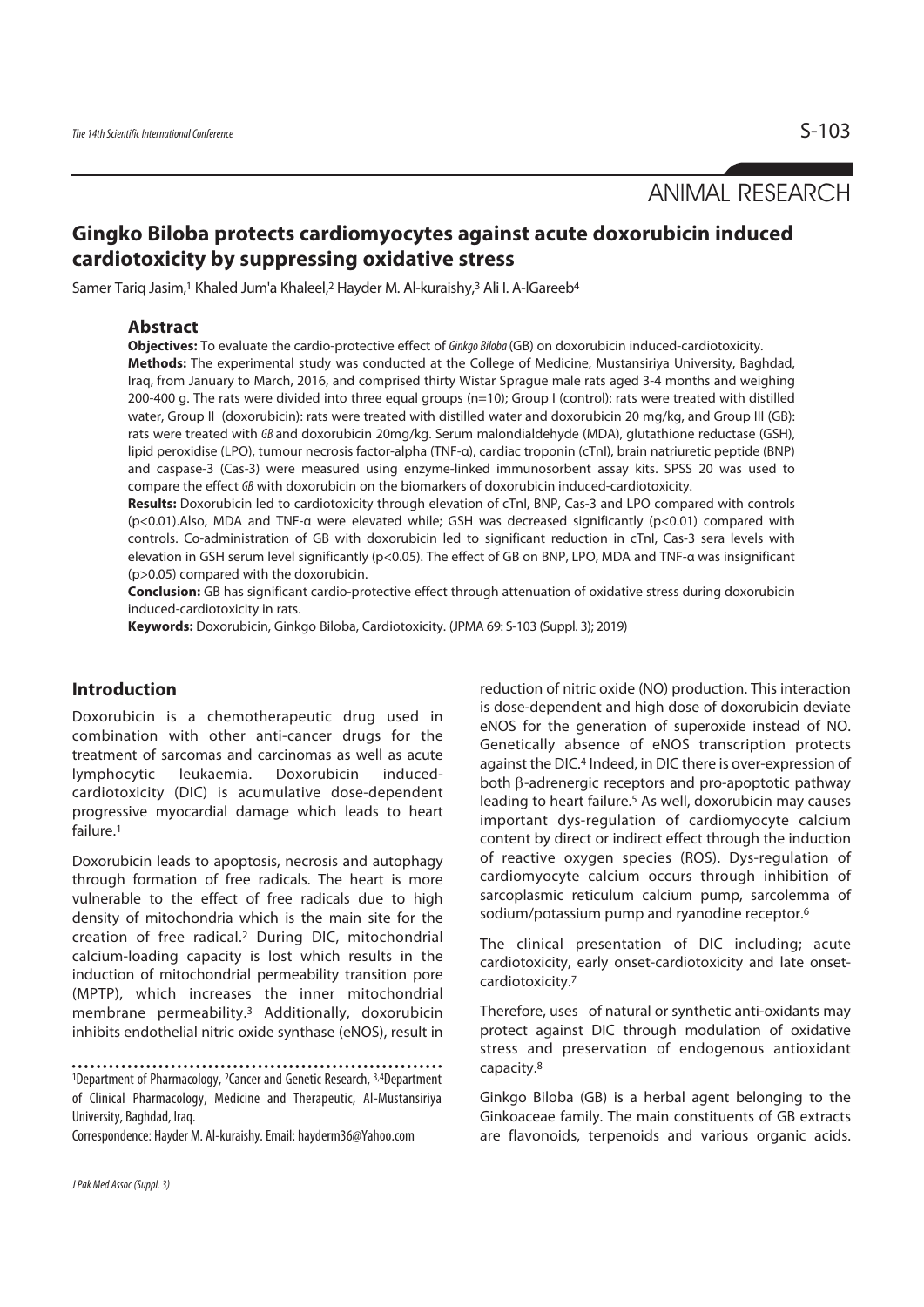ANIMAL RESEARCH

# **Gingko Biloba protects cardiomyocytes against acute doxorubicin induced cardiotoxicity by suppressing oxidative stress**

Samer Tariq Jasim,<sup>1</sup> Khaled Jum'a Khaleel,<sup>2</sup> Hayder M. Al-kuraishy,<sup>3</sup> Ali I. A-lGareeb<sup>4</sup>

#### **Abstract**

**Objectives:** To evaluate the cardio-protective effect of Ginkgo Biloba (GB) on doxorubicin induced-cardiotoxicity.

**Methods:** The experimental study was conducted at the College of Medicine, Mustansiriya University, Baghdad, Iraq, from January to March, 2016, and comprised thirty Wistar Sprague male rats aged 3-4 months and weighing 200-400 g. The rats were divided into three equal groups (n=10); Group I (control): rats were treated with distilled water, Group II (doxorubicin): rats were treated with distilled water and doxorubicin 20 mg/kg, and Group III (GB): rats were treated with GB and doxorubicin 20mg/kg. Serum malondialdehyde (MDA), glutathione reductase (GSH), lipid peroxidise (LPO), tumour necrosis factor-alpha (TNF-α), cardiac troponin (cTnI), brain natriuretic peptide (BNP) and caspase-3 (Cas-3) were measured using enzyme-linked immunosorbent assay kits. SPSS 20 was used to compare the effect GB with doxorubicin on the biomarkers of doxorubicin induced-cardiotoxicity.

**Results:** Doxorubicin led to cardiotoxicity through elevation of cTnI, BNP, Cas-3 and LPO compared with controls (p<0.01).Also, MDA and TNF-α were elevated while; GSH was decreased significantly (p<0.01) compared with controls. Co-administration of GB with doxorubicin led to significant reduction in cTnI, Cas-3 sera levels with elevation in GSH serum level significantly (p<0.05). The effect of GB on BNP, LPO, MDA and TNF-α was insignificant (p>0.05) compared with the doxorubicin.

**Conclusion:** GB has significant cardio-protective effect through attenuation of oxidative stress during doxorubicin induced-cardiotoxicity in rats.

**Keywords:** Doxorubicin, Ginkgo Biloba, Cardiotoxicity. (JPMA 69: S-103 (Suppl. 3); 2019)

# **Introduction**

Doxorubicin is a chemotherapeutic drug used in combination with other anti-cancer drugs for the treatment of sarcomas and carcinomas as well as acute lymphocytic leukaemia. Doxorubicin inducedcardiotoxicity (DIC) is acumulative dose-dependent progressive myocardial damage which leads to heart failure.1

Doxorubicin leads to apoptosis, necrosis and autophagy through formation of free radicals. The heart is more vulnerable to the effect of free radicals due to high density of mitochondria which is the main site for the creation of free radical.2 During DIC, mitochondrial calcium-loading capacity is lost which results in the induction of mitochondrial permeability transition pore (MPTP), which increases the inner mitochondrial membrane permeability.3 Additionally, doxorubicin inhibits endothelial nitric oxide synthase (eNOS), result in

Correspondence: Hayder M. Al-kuraishy. Email: hayderm36@Yahoo.com

reduction of nitric oxide (NO) production. This interaction is dose-dependent and high dose of doxorubicin deviate eNOS for the generation of superoxide instead of NO. Genetically absence of eNOS transcription protects against the DIC.4 Indeed, in DIC there is over-expression of both β-adrenergic receptors and pro-apoptotic pathway leading to heart failure.5 As well, doxorubicin may causes important dys-regulation of cardiomyocyte calcium content by direct or indirect effect through the induction of reactive oxygen species (ROS). Dys-regulation of cardiomyocyte calcium occurs through inhibition of sarcoplasmic reticulum calcium pump, sarcolemma of sodium/potassium pump and ryanodine receptor.6

The clinical presentation of DIC including; acute cardiotoxicity, early onset-cardiotoxicity and late onsetcardiotoxicity.7

Therefore, uses of natural or synthetic anti-oxidants may protect against DIC through modulation of oxidative stress and preservation of endogenous antioxidant capacity.8

Ginkgo Biloba (GB) is a herbal agent belonging to the Ginkoaceae family. The main constituents of GB extracts are flavonoids, terpenoids and various organic acids.

<sup>1</sup>Department of Pharmacology, 2Cancer and Genetic Research, 3,4Department of Clinical Pharmacology, Medicine and Therapeutic, Al-Mustansiriya University, Baghdad, Iraq.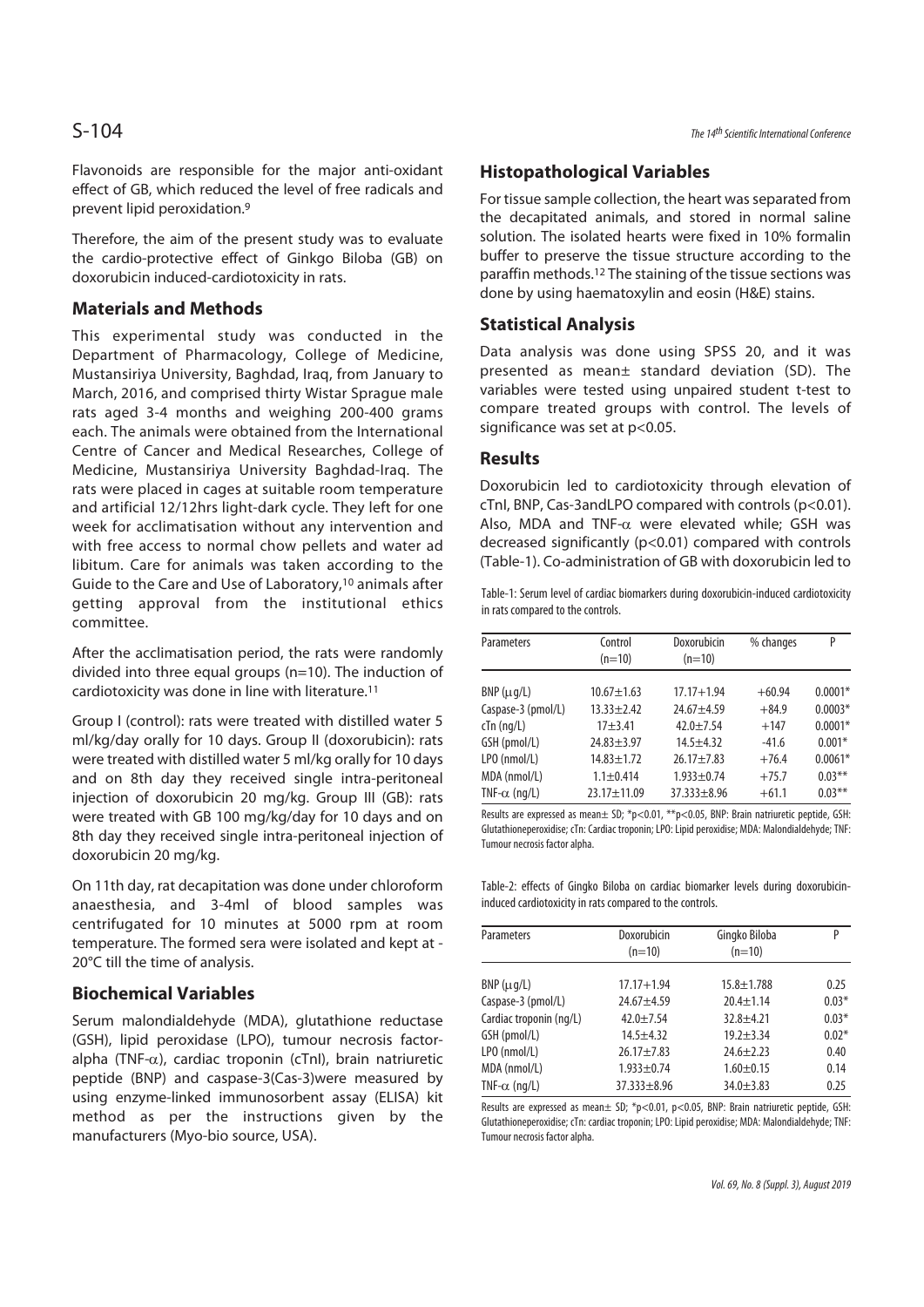Flavonoids are responsible for the major anti-oxidant effect of GB, which reduced the level of free radicals and prevent lipid peroxidation.9

Therefore, the aim of the present study was to evaluate the cardio-protective effect of Ginkgo Biloba (GB) on doxorubicin induced-cardiotoxicity in rats.

### **Materials and Methods**

This experimental study was conducted in the Department of Pharmacology, College of Medicine, Mustansiriya University, Baghdad, Iraq, from January to March, 2016, and comprised thirty Wistar Sprague male rats aged 3-4 months and weighing 200-400 grams each. The animals were obtained from the International Centre of Cancer and Medical Researches, College of Medicine, Mustansiriya University Baghdad-Iraq. The rats were placed in cages at suitable room temperature and artificial 12/12hrs light-dark cycle. They left for one week for acclimatisation without any intervention and with free access to normal chow pellets and water ad libitum. Care for animals was taken according to the Guide to the Care and Use of Laboratory,10 animals after getting approval from the institutional ethics committee.

After the acclimatisation period, the rats were randomly divided into three equal groups (n=10). The induction of cardiotoxicity was done in line with literature.11

Group I (control): rats were treated with distilled water 5 ml/kg/day orally for 10 days. Group II (doxorubicin): rats were treated with distilled water 5 ml/kg orally for 10 days and on 8th day they received single intra-peritoneal injection of doxorubicin 20 mg/kg. Group III (GB): rats were treated with GB 100 mg/kg/day for 10 days and on 8th day they received single intra-peritoneal injection of doxorubicin 20 mg/kg.

On 11th day, rat decapitation was done under chloroform anaesthesia, and 3-4ml of blood samples was centrifugated for 10 minutes at 5000 rpm at room temperature. The formed sera were isolated and kept at - 20°C till the time of analysis.

# **Biochemical Variables**

Serum malondialdehyde (MDA), glutathione reductase (GSH), lipid peroxidase (LPO), tumour necrosis factoralpha (TNF- $\alpha$ ), cardiac troponin (cTnl), brain natriuretic peptide (BNP) and caspase-3(Cas-3)were measured by using enzyme-linked immunosorbent assay (ELISA) kit method as per the instructions given by the manufacturers (Myo-bio source, USA).

# **Histopathological Variables**

For tissue sample collection, the heart was separated from the decapitated animals, and stored in normal saline solution. The isolated hearts were fixed in 10% formalin buffer to preserve the tissue structure according to the paraffin methods.12 The staining of the tissue sections was done by using haematoxylin and eosin (H&E) stains.

### **Statistical Analysis**

Data analysis was done using SPSS 20, and it was presented as mean± standard deviation (SD). The variables were tested using unpaired student t-test to compare treated groups with control. The levels of significance was set at p<0.05.

#### **Results**

Doxorubicin led to cardiotoxicity through elevation of cTnI, BNP, Cas-3andLPO compared with controls (p<0.01). Also, MDA and TNF- $\alpha$  were elevated while; GSH was decreased significantly (p<0.01) compared with controls (Table-1). Co-administration of GB with doxorubicin led to

Table-1: Serum level of cardiac biomarkers during doxorubicin-induced cardiotoxicity in rats compared to the controls.

| <b>Parameters</b>    | Control           | Doxorubicin       | % changes | P         |
|----------------------|-------------------|-------------------|-----------|-----------|
|                      | $(n=10)$          | $(n=10)$          |           |           |
|                      |                   |                   |           |           |
| $BNP(\mu q/L)$       | $10.67 \pm 1.63$  | $17.17 + 1.94$    | $+60.94$  | $0.0001*$ |
| Caspase-3 (pmol/L)   | $13.33 + 2.42$    | $24.67 + 4.59$    | $+84.9$   | $0.0003*$ |
| $cTn$ (ng/L)         | $17 + 3.41$       | $42.0 + 7.54$     | $+147$    | $0.0001*$ |
| GSH (pmol/L)         | $24.83 \pm 3.97$  | $14.5 + 4.32$     | $-41.6$   | $0.001*$  |
| LPO (nmol/L)         | $14.83 \pm 1.72$  | $26.17 + 7.83$    | $+76.4$   | $0.0061*$ |
| MDA (nmol/L)         | $1.1 + 0.414$     | $1.933 + 0.74$    | $+75.7$   | $0.03***$ |
| TNF- $\alpha$ (ng/L) | $23.17 \pm 11.09$ | $37.333 \pm 8.96$ | $+61.1$   | $0.03***$ |

Results are expressed as mean $\pm$  SD; \*p<0.01, \*\*p<0.05, BNP: Brain natriuretic peptide, GSH: Glutathioneperoxidise; cTn: Cardiac troponin; LPO: Lipid peroxidise; MDA: Malondialdehyde; TNF: Tumour necrosis factor alpha.

Table-2: effects of Gingko Biloba on cardiac biomarker levels during doxorubicininduced cardiotoxicity in rats compared to the controls.

| <b>Parameters</b>       | Doxorubicin<br>$(n=10)$ | Gingko Biloba<br>$(n=10)$ | P       |
|-------------------------|-------------------------|---------------------------|---------|
| $BNP(\mu q/L)$          | $17.17 + 1.94$          | $15.8 \pm 1.788$          | 0.25    |
| Caspase-3 (pmol/L)      | $24.67 + 4.59$          | $20.4 \pm 1.14$           | $0.03*$ |
| Cardiac troponin (ng/L) | $42.0 + 7.54$           | $32.8 + 4.21$             | $0.03*$ |
| GSH (pmol/L)            | $14.5 + 4.32$           | $19.2 + 3.34$             | $0.02*$ |
| LPO (nmol/L)            | $26.17 \pm 7.83$        | $24.6 \pm 2.23$           | 0.40    |
| MDA (nmol/L)            | $1.933 \pm 0.74$        | $1.60 + 0.15$             | 0.14    |
| TNF- $\alpha$ (ng/L)    | $37.333 + 8.96$         | $34.0 \pm 3.83$           | 0.25    |

Results are expressed as mean $\pm$  SD; \*p<0.01, p<0.05, BNP: Brain natriuretic peptide, GSH: Glutathioneperoxidise; cTn: cardiac troponin; LPO: Lipid peroxidise; MDA: Malondialdehyde; TNF: Tumour necrosis factor alpha.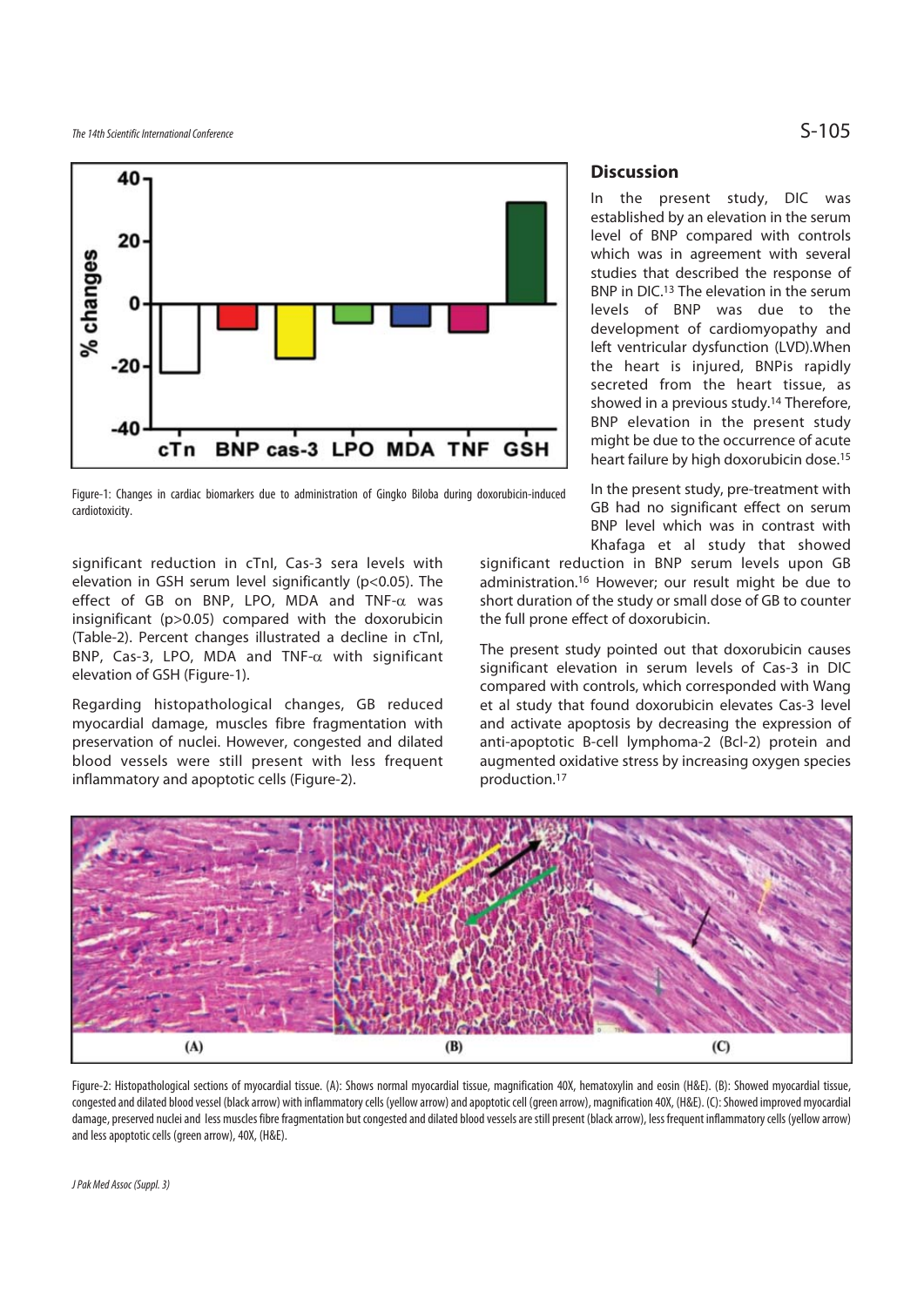

Figure-1: Changes in cardiac biomarkers due to administration of Gingko Biloba during doxorubicin-induced cardiotoxicity.

significant reduction in cTnI, Cas-3 sera levels with elevation in GSH serum level significantly (p<0.05). The effect of GB on BNP, LPO, MDA and TNF-α was insignificant (p>0.05) compared with the doxorubicin (Table-2). Percent changes illustrated a decline in cTnI, BNP, Cas-3, LPO, MDA and TNF-α with significant elevation of GSH (Figure-1).

Regarding histopathological changes, GB reduced myocardial damage, muscles fibre fragmentation with preservation of nuclei. However, congested and dilated blood vessels were still present with less frequent inflammatory and apoptotic cells (Figure-2).

# **Discussion**

In the present study, DIC was established by an elevation in the serum level of BNP compared with controls which was in agreement with several studies that described the response of BNP in DIC.13 The elevation in the serum levels of BNP was due to the development of cardiomyopathy and left ventricular dysfunction (LVD).When the heart is injured, BNPis rapidly secreted from the heart tissue, as showed in a previous study.14 Therefore, BNP elevation in the present study might be due to the occurrence of acute heart failure by high doxorubicin dose.15

In the present study, pre-treatment with GB had no significant effect on serum BNP level which was in contrast with Khafaga et al study that showed

significant reduction in BNP serum levels upon GB administration.16 However; our result might be due to short duration of the study or small dose of GB to counter the full prone effect of doxorubicin.

The present study pointed out that doxorubicin causes significant elevation in serum levels of Cas-3 in DIC compared with controls, which corresponded with Wang et al study that found doxorubicin elevates Cas-3 level and activate apoptosis by decreasing the expression of anti-apoptotic B-cell lymphoma-2 (Bcl-2) protein and augmented oxidative stress by increasing oxygen species production.17



Figure-2: Histopathological sections of myocardial tissue. (A): Shows normal myocardial tissue, magnification 40X, hematoxylin and eosin (H&E). (B): Showed myocardial tissue, congested and dilated blood vessel (black arrow) with inflammatory cells (yellow arrow) and apoptotic cell (green arrow), magnification 40X, (H&E). (C): Showed improved myocardial damage, preserved nuclei and less muscles fibre fragmentation but congested and dilated blood vessels are still present (black arrow), less frequent inflammatory cells (yellow arrow) and less apoptotic cells (green arrow), 40X, (H&E).

J Pak Med Assoc (Suppl. 3)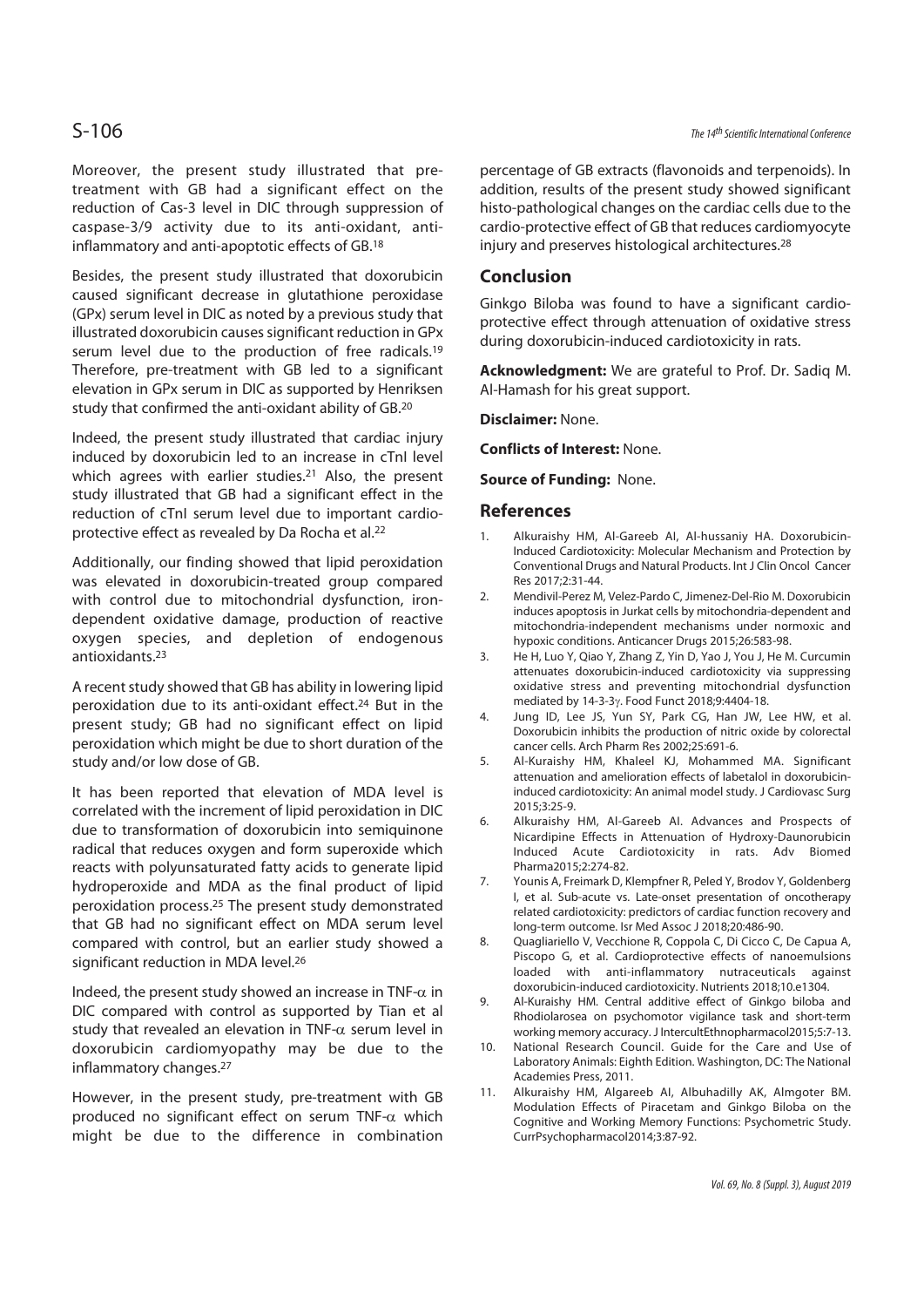Moreover, the present study illustrated that pretreatment with GB had a significant effect on the reduction of Cas-3 level in DIC through suppression of caspase-3/9 activity due to its anti-oxidant, antiinflammatory and anti-apoptotic effects of GB.18

Besides, the present study illustrated that doxorubicin caused significant decrease in glutathione peroxidase (GPx) serum level in DIC as noted by a previous study that illustrated doxorubicin causes significant reduction in GPx serum level due to the production of free radicals.<sup>19</sup> Therefore, pre-treatment with GB led to a significant elevation in GPx serum in DIC as supported by Henriksen study that confirmed the anti-oxidant ability of GB.20

Indeed, the present study illustrated that cardiac injury induced by doxorubicin led to an increase in cTnI level which agrees with earlier studies.<sup>21</sup> Also, the present study illustrated that GB had a significant effect in the reduction of cTnI serum level due to important cardioprotective effect as revealed by Da Rocha et al.22

Additionally, our finding showed that lipid peroxidation was elevated in doxorubicin-treated group compared with control due to mitochondrial dysfunction, irondependent oxidative damage, production of reactive oxygen species, and depletion of endogenous antioxidants.23

A recent study showed that GB has ability in lowering lipid peroxidation due to its anti-oxidant effect.24 But in the present study; GB had no significant effect on lipid peroxidation which might be due to short duration of the study and/or low dose of GB.

It has been reported that elevation of MDA level is correlated with the increment of lipid peroxidation in DIC due to transformation of doxorubicin into semiquinone radical that reduces oxygen and form superoxide which reacts with polyunsaturated fatty acids to generate lipid hydroperoxide and MDA as the final product of lipid peroxidation process.25 The present study demonstrated that GB had no significant effect on MDA serum level compared with control, but an earlier study showed a significant reduction in MDA level.26

Indeed, the present study showed an increase in TNF- $\alpha$  in DIC compared with control as supported by Tian et al study that revealed an elevation in TNF- $\alpha$  serum level in doxorubicin cardiomyopathy may be due to the inflammatory changes.27

However, in the present study, pre-treatment with GB produced no significant effect on serum TNF-α which might be due to the difference in combination

percentage of GB extracts (flavonoids and terpenoids). In addition, results of the present study showed significant histo-pathological changes on the cardiac cells due to the cardio-protective effect of GB that reduces cardiomyocyte injury and preserves histological architectures.28

#### **Conclusion**

Ginkgo Biloba was found to have a significant cardioprotective effect through attenuation of oxidative stress during doxorubicin-induced cardiotoxicity in rats.

**Acknowledgment:** We are grateful to Prof. Dr. Sadiq M. Al-Hamash for his great support.

**Disclaimer:** None.

**Conflicts of Interest:** None.

**Source of Funding:** None.

#### **References**

- 1. Alkuraishy HM, Al-Gareeb AI, Al-hussaniy HA. Doxorubicin-Induced Cardiotoxicity: Molecular Mechanism and Protection by Conventional Drugs and Natural Products. Int J Clin Oncol Cancer Res 2017;2:31-44.
- 2. Mendivil-Perez M, Velez-Pardo C, Jimenez-Del-Rio M. Doxorubicin induces apoptosis in Jurkat cells by mitochondria-dependent and mitochondria-independent mechanisms under normoxic and hypoxic conditions. Anticancer Drugs 2015;26:583-98.
- 3. He H, Luo Y, Qiao Y, Zhang Z, Yin D, Yao J, You J, He M. Curcumin attenuates doxorubicin-induced cardiotoxicity via suppressing oxidative stress and preventing mitochondrial dysfunction mediated by 14-3-3γ. Food Funct 2018;9:4404-18.
- 4. Jung ID, Lee JS, Yun SY, Park CG, Han JW, Lee HW, et al. Doxorubicin inhibits the production of nitric oxide by colorectal cancer cells. Arch Pharm Res 2002;25:691-6.
- 5. Al-Kuraishy HM, Khaleel KJ, Mohammed MA. Significant attenuation and amelioration effects of labetalol in doxorubicininduced cardiotoxicity: An animal model study. J Cardiovasc Surg 2015;3:25-9.
- 6. Alkuraishy HM, Al-Gareeb AI. Advances and Prospects of Nicardipine Effects in Attenuation of Hydroxy-Daunorubicin Induced Acute Cardiotoxicity in rats. Adv Biomed Pharma2015;2:274-82.
- 7. Younis A, Freimark D, Klempfner R, Peled Y, Brodov Y, Goldenberg I, et al. Sub-acute vs. Late-onset presentation of oncotherapy related cardiotoxicity: predictors of cardiac function recovery and long-term outcome. Isr Med Assoc J 2018;20:486-90.
- 8. Quagliariello V, Vecchione R, Coppola C, Di Cicco C, De Capua A, Piscopo G, et al. Cardioprotective effects of nanoemulsions loaded with anti-inflammatory nutraceuticals against doxorubicin-induced cardiotoxicity. Nutrients 2018;10.e1304.
- 9. Al-Kuraishy HM. Central additive effect of Ginkgo biloba and Rhodiolarosea on psychomotor vigilance task and short-term working memory accuracy. J IntercultEthnopharmacol2015;5:7-13.
- 10. National Research Council. Guide for the Care and Use of Laboratory Animals: Eighth Edition. Washington, DC: The National Academies Press, 2011.
- 11. Alkuraishy HM, Algareeb AI, Albuhadilly AK, Almgoter BM. Modulation Effects of Piracetam and Ginkgo Biloba on the Cognitive and Working Memory Functions: Psychometric Study. CurrPsychopharmacol2014;3:87-92.